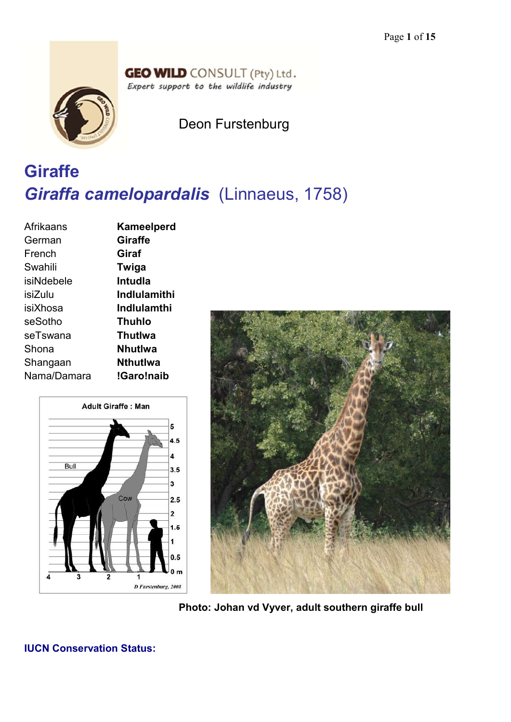## **GEO WILD** CONSULT (Pty) Ltd. Expert support to the wildlife industry



Deon Furstenburg

# **Giraffe** *Giraffa camelopardalis* (Linnaeus, 1758)

| Afrikaans   | Kameelperd     |
|-------------|----------------|
| German      | <b>Giraffe</b> |
| French      | Giraf          |
| Swahili     | Twiga          |
| isiNdebele  | <b>Intudia</b> |
| isiZulu     | Indlulamithi   |
| isiXhosa    | Indlulamthi    |
| seSotho     | Thuhlo         |
| seTswana    | <b>ThutIwa</b> |
| Shona       | <b>Nhutlwa</b> |
| Shangaan    | Nthutlwa       |
| Nama/Damara | !Garo!naib     |
|             |                |





**Photo: Johan vd Vyver, adult southern giraffe bull**

# **IUCN Conservation Status:**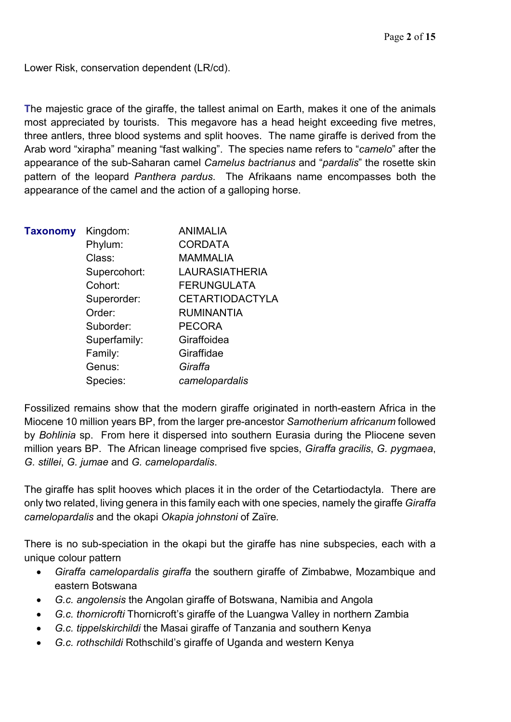Lower Risk, conservation dependent (LR/cd).

**T**he majestic grace of the giraffe, the tallest animal on Earth, makes it one of the animals most appreciated by tourists. This megavore has a head height exceeding five metres, three antlers, three blood systems and split hooves. The name giraffe is derived from the Arab word "xirapha" meaning "fast walking". The species name refers to "*camelo*" after the appearance of the sub-Saharan camel *Camelus bactrianus* and "*pardalis*" the rosette skin pattern of the leopard *Panthera pardus*. The Afrikaans name encompasses both the appearance of the camel and the action of a galloping horse.

| <b>Taxonomy</b> | Kingdom:     | <b>ANIMALIA</b>        |
|-----------------|--------------|------------------------|
|                 | Phylum:      | <b>CORDATA</b>         |
|                 | Class:       | <b>MAMMALIA</b>        |
|                 | Supercohort: | <b>LAURASIATHERIA</b>  |
|                 | Cohort:      | <b>FERUNGULATA</b>     |
|                 | Superorder:  | <b>CETARTIODACTYLA</b> |
|                 | Order:       | <b>RUMINANTIA</b>      |
|                 | Suborder:    | <b>PECORA</b>          |
|                 | Superfamily: | Giraffoidea            |
|                 | Family:      | Giraffidae             |
|                 | Genus:       | Giraffa                |
|                 | Species:     | camelopardalis         |

Fossilized remains show that the modern giraffe originated in north-eastern Africa in the Miocene 10 million years BP, from the larger pre-ancestor *Samotherium africanum* followed by *Bohlinia* sp. From here it dispersed into southern Eurasia during the Pliocene seven million years BP. The African lineage comprised five spcies, *Giraffa gracilis*, *G. pygmaea*, *G. stillei*, *G. jumae* and *G. camelopardalis*.

The giraffe has split hooves which places it in the order of the Cetartiodactyla. There are only two related, living genera in this family each with one species, namely the giraffe *Giraffa camelopardalis* and the okapi *Okapia johnstoni* of Zaïre*.*

There is no sub-speciation in the okapi but the giraffe has nine subspecies, each with a unique colour pattern

- *Giraffa camelopardalis giraffa* the southern giraffe of Zimbabwe, Mozambique and eastern Botswana
- *G.c. angolensis* the Angolan giraffe of Botswana, Namibia and Angola
- *G.c. thornicrofti* Thornicroft's giraffe of the Luangwa Valley in northern Zambia
- *G.c. tippelskirchildi* the Masai giraffe of Tanzania and southern Kenya
- *G.c. rothschildi* Rothschild's giraffe of Uganda and western Kenya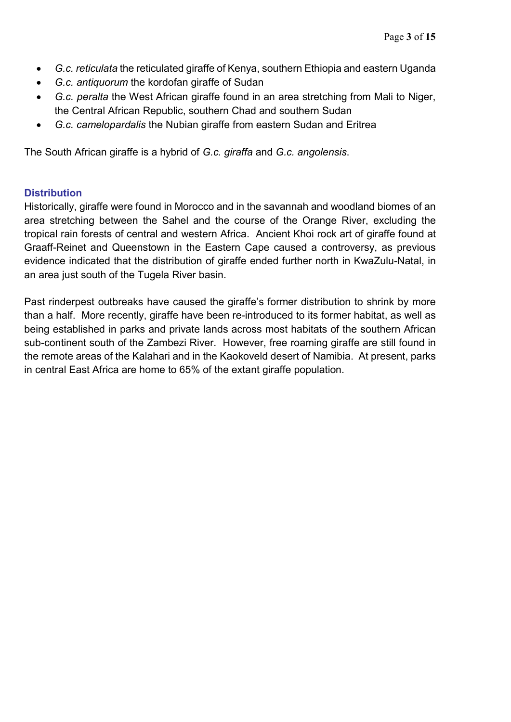- *G.c. reticulata* the reticulated giraffe of Kenya, southern Ethiopia and eastern Uganda
- *G.c. antiquorum* the kordofan giraffe of Sudan
- *G.c. peralta* the West African giraffe found in an area stretching from Mali to Niger, the Central African Republic, southern Chad and southern Sudan
- *G.c. camelopardalis* the Nubian giraffe from eastern Sudan and Eritrea

The South African giraffe is a hybrid of *G.c. giraffa* and *G.c. angolensis*.

# **Distribution**

Historically, giraffe were found in Morocco and in the savannah and woodland biomes of an area stretching between the Sahel and the course of the Orange River, excluding the tropical rain forests of central and western Africa. Ancient Khoi rock art of giraffe found at Graaff-Reinet and Queenstown in the Eastern Cape caused a controversy, as previous evidence indicated that the distribution of giraffe ended further north in KwaZulu-Natal, in an area just south of the Tugela River basin.

Past rinderpest outbreaks have caused the giraffe's former distribution to shrink by more than a half. More recently, giraffe have been re-introduced to its former habitat, as well as being established in parks and private lands across most habitats of the southern African sub-continent south of the Zambezi River. However, free roaming giraffe are still found in the remote areas of the Kalahari and in the Kaokoveld desert of Namibia. At present, parks in central East Africa are home to 65% of the extant giraffe population.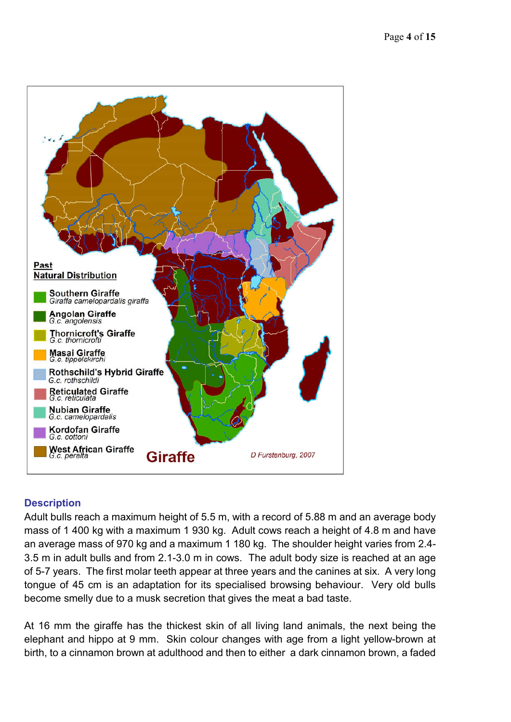

# **Description**

Adult bulls reach a maximum height of 5.5 m, with a record of 5.88 m and an average body mass of 1 400 kg with a maximum 1 930 kg. Adult cows reach a height of 4.8 m and have an average mass of 970 kg and a maximum 1 180 kg. The shoulder height varies from 2.4- 3.5 m in adult bulls and from 2.1-3.0 m in cows. The adult body size is reached at an age of 5-7 years. The first molar teeth appear at three years and the canines at six. A very long tongue of 45 cm is an adaptation for its specialised browsing behaviour. Very old bulls become smelly due to a musk secretion that gives the meat a bad taste.

At 16 mm the giraffe has the thickest skin of all living land animals, the next being the elephant and hippo at 9 mm. Skin colour changes with age from a light yellow-brown at birth, to a cinnamon brown at adulthood and then to either a dark cinnamon brown, a faded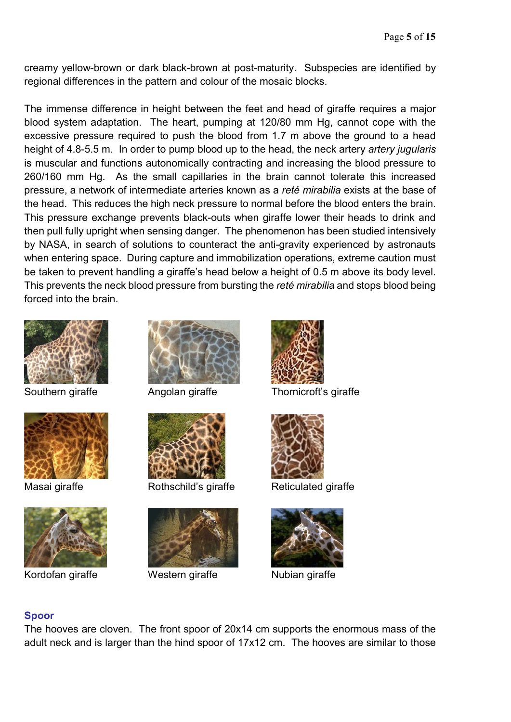creamy yellow-brown or dark black-brown at post-maturity. Subspecies are identified by regional differences in the pattern and colour of the mosaic blocks.

The immense difference in height between the feet and head of giraffe requires a major blood system adaptation. The heart, pumping at 120/80 mm Hg, cannot cope with the excessive pressure required to push the blood from 1.7 m above the ground to a head height of 4.8-5.5 m. In order to pump blood up to the head, the neck artery *artery jugularis* is muscular and functions autonomically contracting and increasing the blood pressure to 260/160 mm Hg. As the small capillaries in the brain cannot tolerate this increased pressure, a network of intermediate arteries known as a *reté mirabilia* exists at the base of the head. This reduces the high neck pressure to normal before the blood enters the brain. This pressure exchange prevents black-outs when giraffe lower their heads to drink and then pull fully upright when sensing danger. The phenomenon has been studied intensively by NASA, in search of solutions to counteract the anti-gravity experienced by astronauts when entering space. During capture and immobilization operations, extreme caution must be taken to prevent handling a giraffe's head below a height of 0.5 m above its body level. This prevents the neck blood pressure from bursting the *reté mirabilia* and stops blood being forced into the brain.







Kordofan giraffe **Western giraffe** Nubian giraffe





Masai giraffe **Rothschild's giraffe** Reticulated giraffe





Southern giraffe **Angolan giraffe** Thornicroft's giraffe





# **Spoor**

The hooves are cloven. The front spoor of 20x14 cm supports the enormous mass of the adult neck and is larger than the hind spoor of 17x12 cm. The hooves are similar to those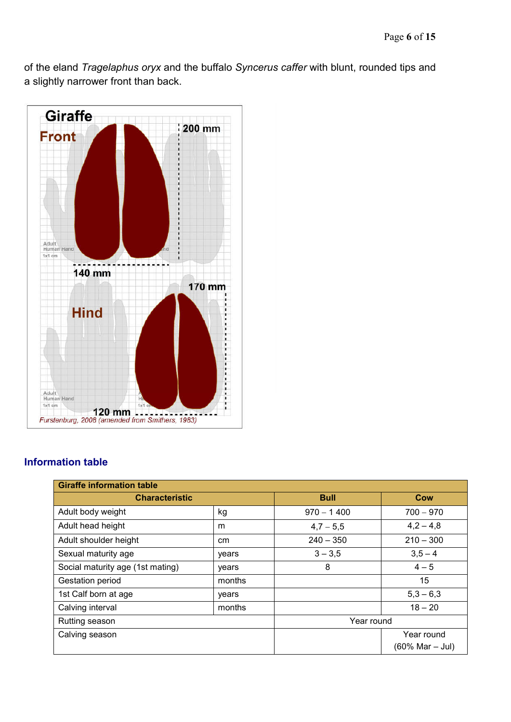of the eland *Tragelaphus oryx* and the buffalo *Syncerus caffer* with blunt, rounded tips and a slightly narrower front than back.



# **Information table**

| <b>Giraffe information table</b> |        |              |                 |  |
|----------------------------------|--------|--------------|-----------------|--|
| <b>Characteristic</b>            |        | <b>Bull</b>  | <b>Cow</b>      |  |
| Adult body weight                | kg     | $970 - 1400$ | $700 - 970$     |  |
| Adult head height                | m      | $4,7-5,5$    | $4,2-4,8$       |  |
| Adult shoulder height            | cm     | $240 - 350$  | $210 - 300$     |  |
| Sexual maturity age              | years  | $3 - 3,5$    | $3,5 - 4$       |  |
| Social maturity age (1st mating) | years  | 8            | $4 - 5$         |  |
| Gestation period                 | months |              | 15              |  |
| 1st Calf born at age             | years  |              | $5,3 - 6,3$     |  |
| Calving interval                 | months |              | $18 - 20$       |  |
| Rutting season                   |        | Year round   |                 |  |
| Calving season                   |        |              | Year round      |  |
|                                  |        |              | (60% Mar - Jul) |  |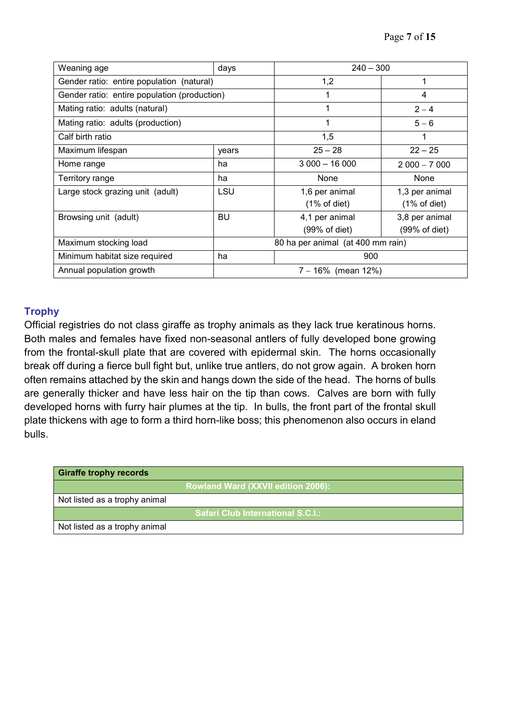| Weaning age                                  | days                              | $240 - 300$             |                         |
|----------------------------------------------|-----------------------------------|-------------------------|-------------------------|
| Gender ratio: entire population (natural)    |                                   | 1,2                     | 1                       |
| Gender ratio: entire population (production) |                                   | 1                       | 4                       |
| Mating ratio: adults (natural)               |                                   | 1                       | $2 - 4$                 |
| Mating ratio: adults (production)            |                                   | 1                       | $5 - 6$                 |
| Calf birth ratio                             |                                   | 1,5                     | 1                       |
| Maximum lifespan                             | years                             | $25 - 28$               | $22 - 25$               |
| Home range                                   | ha                                | $3000 - 16000$          | $2000 - 7000$           |
| Territory range                              | ha                                | None                    | None                    |
| Large stock grazing unit (adult)             | LSU                               | 1,6 per animal          | 1,3 per animal          |
|                                              |                                   | $(1\% \text{ of diet})$ | $(1\% \text{ of diet})$ |
| Browsing unit (adult)                        | <b>BU</b>                         | 4,1 per animal          | 3,8 per animal          |
|                                              |                                   | (99% of diet)           | (99% of diet)           |
| Maximum stocking load                        | 80 ha per animal (at 400 mm rain) |                         |                         |
| Minimum habitat size required                | ha                                | 900                     |                         |
| Annual population growth                     | $7 - 16\%$ (mean 12%)             |                         |                         |

# **Trophy**

Official registries do not class giraffe as trophy animals as they lack true keratinous horns. Both males and females have fixed non-seasonal antlers of fully developed bone growing from the frontal-skull plate that are covered with epidermal skin. The horns occasionally break off during a fierce bull fight but, unlike true antlers, do not grow again. A broken horn often remains attached by the skin and hangs down the side of the head. The horns of bulls are generally thicker and have less hair on the tip than cows. Calves are born with fully developed horns with furry hair plumes at the tip. In bulls, the front part of the frontal skull plate thickens with age to form a third horn-like boss; this phenomenon also occurs in eland bulls.

| <b>Giraffe trophy records</b> |                                    |
|-------------------------------|------------------------------------|
|                               | Rowland Ward (XXVII edition 2006): |
| Not listed as a trophy animal |                                    |
|                               | Safari Club International S.C.I.:  |
| Not listed as a trophy animal |                                    |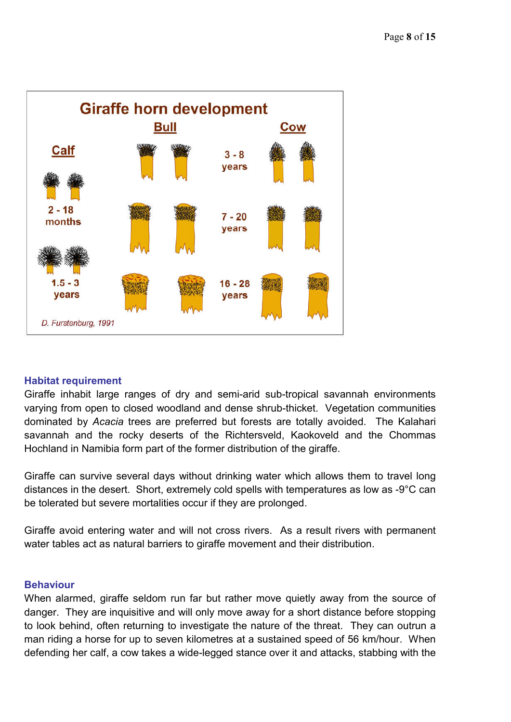

#### **Habitat requirement**

Giraffe inhabit large ranges of dry and semi-arid sub-tropical savannah environments varying from open to closed woodland and dense shrub-thicket. Vegetation communities dominated by *Acacia* trees are preferred but forests are totally avoided. The Kalahari savannah and the rocky deserts of the Richtersveld, Kaokoveld and the Chommas Hochland in Namibia form part of the former distribution of the giraffe.

Giraffe can survive several days without drinking water which allows them to travel long distances in the desert. Short, extremely cold spells with temperatures as low as -9°C can be tolerated but severe mortalities occur if they are prolonged.

Giraffe avoid entering water and will not cross rivers. As a result rivers with permanent water tables act as natural barriers to giraffe movement and their distribution.

#### **Behaviour**

When alarmed, giraffe seldom run far but rather move quietly away from the source of danger. They are inquisitive and will only move away for a short distance before stopping to look behind, often returning to investigate the nature of the threat. They can outrun a man riding a horse for up to seven kilometres at a sustained speed of 56 km/hour. When defending her calf, a cow takes a wide-legged stance over it and attacks, stabbing with the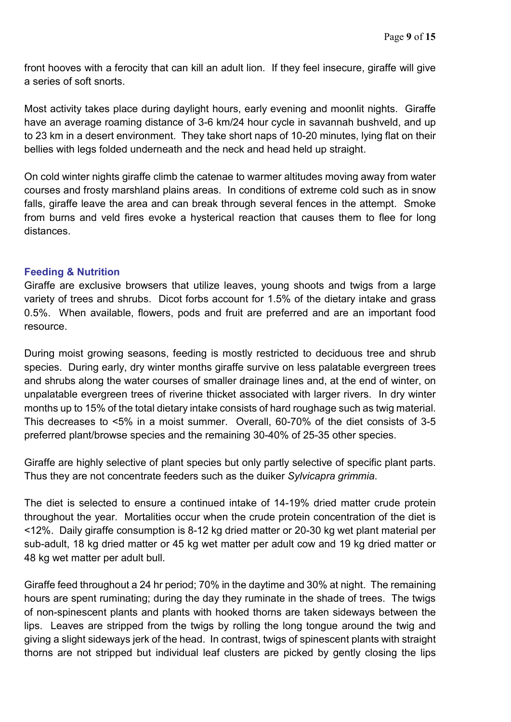front hooves with a ferocity that can kill an adult lion. If they feel insecure, giraffe will give a series of soft snorts.

Most activity takes place during daylight hours, early evening and moonlit nights. Giraffe have an average roaming distance of 3-6 km/24 hour cycle in savannah bushveld, and up to 23 km in a desert environment. They take short naps of 10-20 minutes, lying flat on their bellies with legs folded underneath and the neck and head held up straight.

On cold winter nights giraffe climb the catenae to warmer altitudes moving away from water courses and frosty marshland plains areas. In conditions of extreme cold such as in snow falls, giraffe leave the area and can break through several fences in the attempt. Smoke from burns and veld fires evoke a hysterical reaction that causes them to flee for long distances.

#### **Feeding & Nutrition**

Giraffe are exclusive browsers that utilize leaves, young shoots and twigs from a large variety of trees and shrubs. Dicot forbs account for 1.5% of the dietary intake and grass 0.5%. When available, flowers, pods and fruit are preferred and are an important food resource.

During moist growing seasons, feeding is mostly restricted to deciduous tree and shrub species. During early, dry winter months giraffe survive on less palatable evergreen trees and shrubs along the water courses of smaller drainage lines and, at the end of winter, on unpalatable evergreen trees of riverine thicket associated with larger rivers. In dry winter months up to 15% of the total dietary intake consists of hard roughage such as twig material. This decreases to <5% in a moist summer. Overall, 60-70% of the diet consists of 3-5 preferred plant/browse species and the remaining 30-40% of 25-35 other species.

Giraffe are highly selective of plant species but only partly selective of specific plant parts. Thus they are not concentrate feeders such as the duiker *Sylvicapra grimmia*.

The diet is selected to ensure a continued intake of 14-19% dried matter crude protein throughout the year. Mortalities occur when the crude protein concentration of the diet is <12%. Daily giraffe consumption is 8-12 kg dried matter or 20-30 kg wet plant material per sub-adult, 18 kg dried matter or 45 kg wet matter per adult cow and 19 kg dried matter or 48 kg wet matter per adult bull.

Giraffe feed throughout a 24 hr period; 70% in the daytime and 30% at night. The remaining hours are spent ruminating; during the day they ruminate in the shade of trees. The twigs of non-spinescent plants and plants with hooked thorns are taken sideways between the lips. Leaves are stripped from the twigs by rolling the long tongue around the twig and giving a slight sideways jerk of the head. In contrast, twigs of spinescent plants with straight thorns are not stripped but individual leaf clusters are picked by gently closing the lips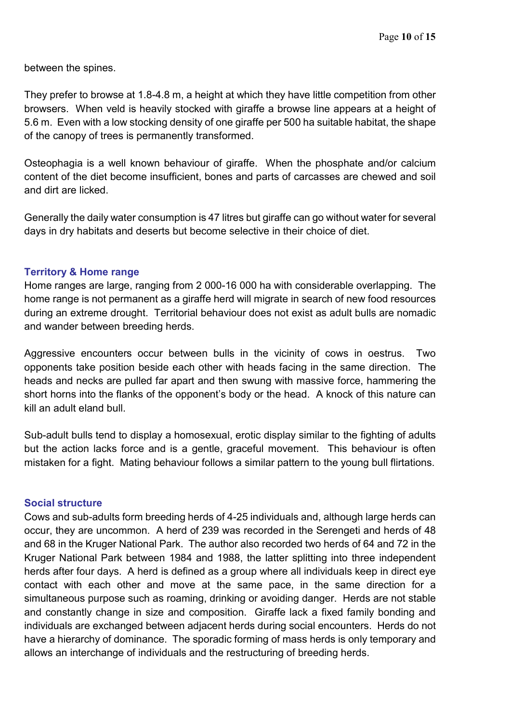between the spines.

They prefer to browse at 1.8-4.8 m, a height at which they have little competition from other browsers. When veld is heavily stocked with giraffe a browse line appears at a height of 5.6 m. Even with a low stocking density of one giraffe per 500 ha suitable habitat, the shape of the canopy of trees is permanently transformed.

Osteophagia is a well known behaviour of giraffe. When the phosphate and/or calcium content of the diet become insufficient, bones and parts of carcasses are chewed and soil and dirt are licked.

Generally the daily water consumption is 47 litres but giraffe can go without water for several days in dry habitats and deserts but become selective in their choice of diet.

#### **Territory & Home range**

Home ranges are large, ranging from 2 000-16 000 ha with considerable overlapping. The home range is not permanent as a giraffe herd will migrate in search of new food resources during an extreme drought. Territorial behaviour does not exist as adult bulls are nomadic and wander between breeding herds.

Aggressive encounters occur between bulls in the vicinity of cows in oestrus. Two opponents take position beside each other with heads facing in the same direction. The heads and necks are pulled far apart and then swung with massive force, hammering the short horns into the flanks of the opponent's body or the head. A knock of this nature can kill an adult eland bull.

Sub-adult bulls tend to display a homosexual, erotic display similar to the fighting of adults but the action lacks force and is a gentle, graceful movement. This behaviour is often mistaken for a fight. Mating behaviour follows a similar pattern to the young bull flirtations.

#### **Social structure**

Cows and sub-adults form breeding herds of 4-25 individuals and, although large herds can occur, they are uncommon. A herd of 239 was recorded in the Serengeti and herds of 48 and 68 in the Kruger National Park. The author also recorded two herds of 64 and 72 in the Kruger National Park between 1984 and 1988, the latter splitting into three independent herds after four days. A herd is defined as a group where all individuals keep in direct eye contact with each other and move at the same pace, in the same direction for a simultaneous purpose such as roaming, drinking or avoiding danger. Herds are not stable and constantly change in size and composition. Giraffe lack a fixed family bonding and individuals are exchanged between adjacent herds during social encounters. Herds do not have a hierarchy of dominance. The sporadic forming of mass herds is only temporary and allows an interchange of individuals and the restructuring of breeding herds.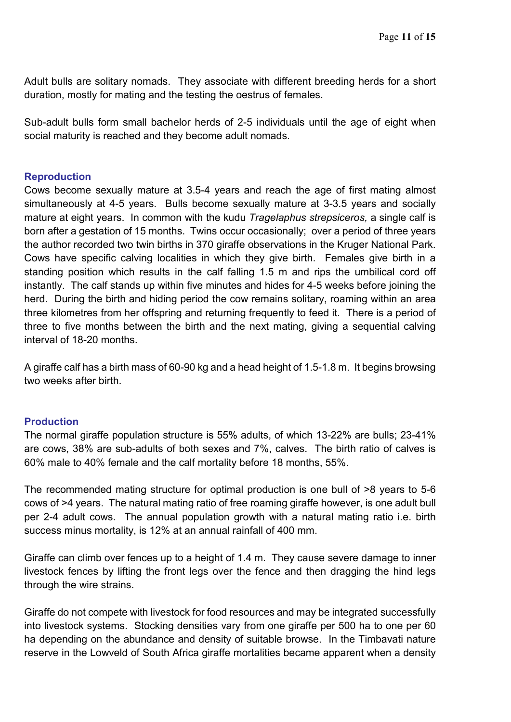Adult bulls are solitary nomads. They associate with different breeding herds for a short duration, mostly for mating and the testing the oestrus of females.

Sub-adult bulls form small bachelor herds of 2-5 individuals until the age of eight when social maturity is reached and they become adult nomads.

### **Reproduction**

Cows become sexually mature at 3.5-4 years and reach the age of first mating almost simultaneously at 4-5 years. Bulls become sexually mature at 3-3.5 years and socially mature at eight years. In common with the kudu *Tragelaphus strepsiceros,* a single calf is born after a gestation of 15 months. Twins occur occasionally; over a period of three years the author recorded two twin births in 370 giraffe observations in the Kruger National Park. Cows have specific calving localities in which they give birth. Females give birth in a standing position which results in the calf falling 1.5 m and rips the umbilical cord off instantly. The calf stands up within five minutes and hides for 4-5 weeks before joining the herd. During the birth and hiding period the cow remains solitary, roaming within an area three kilometres from her offspring and returning frequently to feed it. There is a period of three to five months between the birth and the next mating, giving a sequential calving interval of 18-20 months.

A giraffe calf has a birth mass of 60-90 kg and a head height of 1.5-1.8 m. It begins browsing two weeks after birth.

#### **Production**

The normal giraffe population structure is 55% adults, of which 13-22% are bulls; 23-41% are cows, 38% are sub-adults of both sexes and 7%, calves. The birth ratio of calves is 60% male to 40% female and the calf mortality before 18 months, 55%.

The recommended mating structure for optimal production is one bull of >8 years to 5-6 cows of >4 years. The natural mating ratio of free roaming giraffe however, is one adult bull per 2-4 adult cows. The annual population growth with a natural mating ratio i.e. birth success minus mortality, is 12% at an annual rainfall of 400 mm.

Giraffe can climb over fences up to a height of 1.4 m. They cause severe damage to inner livestock fences by lifting the front legs over the fence and then dragging the hind legs through the wire strains.

Giraffe do not compete with livestock for food resources and may be integrated successfully into livestock systems. Stocking densities vary from one giraffe per 500 ha to one per 60 ha depending on the abundance and density of suitable browse. In the Timbavati nature reserve in the Lowveld of South Africa giraffe mortalities became apparent when a density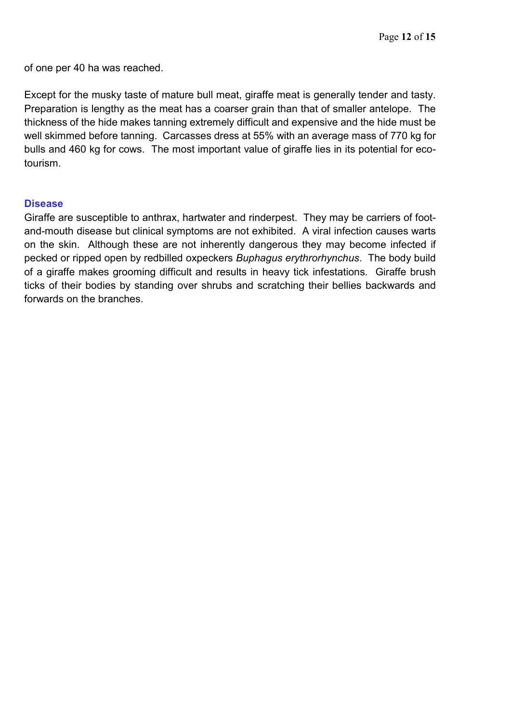of one per 40 ha was reached.

Except for the musky taste of mature bull meat, giraffe meat is generally tender and tasty. Preparation is lengthy as the meat has a coarser grain than that of smaller antelope. The thickness of the hide makes tanning extremely difficult and expensive and the hide must be well skimmed before tanning. Carcasses dress at 55% with an average mass of 770 kg for bulls and 460 kg for cows. The most important value of giraffe lies in its potential for ecotourism.

#### **Disease**

Giraffe are susceptible to anthrax, hartwater and rinderpest. They may be carriers of footand-mouth disease but clinical symptoms are not exhibited. A viral infection causes warts on the skin. Although these are not inherently dangerous they may become infected if pecked or ripped open by redbilled oxpeckers *Buphagus erythrorhynchus*. The body build of a giraffe makes grooming difficult and results in heavy tick infestations. Giraffe brush ticks of their bodies by standing over shrubs and scratching their bellies backwards and forwards on the branches.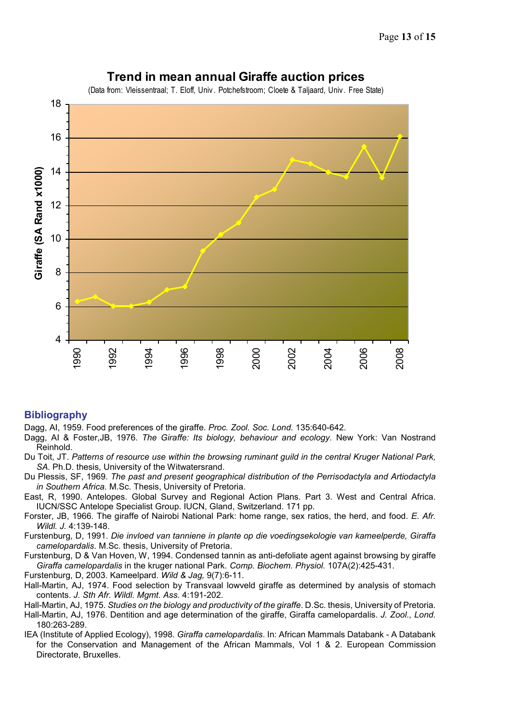

# **Trend in mean annual Giraffe auction prices**

#### **Bibliography**

Dagg, AI, 1959. Food preferences of the giraffe. *Proc. Zool. Soc. Lond.* 135:640-642.

- Dagg, AI & Foster,JB, 1976. *The Giraffe: Its biology, behaviour and ecology.* New York: Van Nostrand Reinhold.
- Du Toit, JT. *Patterns of resource use within the browsing ruminant guild in the central Kruger National Park, SA*. Ph.D. thesis, University of the Witwatersrand.
- Du Plessis, SF, 1969. *The past and present geographical distribution of the Perrisodactyla and Artiodactyla in Southern Africa.* M.Sc. Thesis, University of Pretoria.
- East, R, 1990. Antelopes. Global Survey and Regional Action Plans. Part 3. West and Central Africa. IUCN/SSC Antelope Specialist Group. IUCN, Gland, Switzerland. 171 pp.
- Forster, JB, 1966. The giraffe of Nairobi National Park: home range, sex ratios, the herd, and food. *E. Afr. Wildl. J.* 4:139-148.
- Furstenburg, D, 1991. *Die invloed van tanniene in plante op die voedingsekologie van kameelperde, Giraffa camelopardalis*. M.Sc. thesis, University of Pretoria.
- Furstenburg, D & Van Hoven, W, 1994. Condensed tannin as anti-defoliate agent against browsing by giraffe *Giraffa camelopardalis* in the kruger national Park*. Comp. Biochem. Physiol.* 107A(2):425-431.

Furstenburg, D, 2003. Kameelpard. *Wild & Jag,* 9(7):6-11.

Hall-Martin, AJ, 1974. Food selection by Transvaal lowveld giraffe as determined by analysis of stomach contents. *J. Sth Afr. Wildl. Mgmt. Ass.* 4:191-202.

Hall-Martin, AJ, 1975. *Studies on the biology and productivity of the giraffe*. D.Sc. thesis, University of Pretoria.

- Hall-Martin, AJ, 1976. Dentition and age determination of the giraffe, Giraffa camelopardalis. *J. Zool., Lond.*  180:263-289.
- IEA (Institute of Applied Ecology), 1998. *Giraffa camelopardalis*. In: African Mammals Databank A Databank for the Conservation and Management of the African Mammals, Vol 1 & 2. European Commission Directorate, Bruxelles.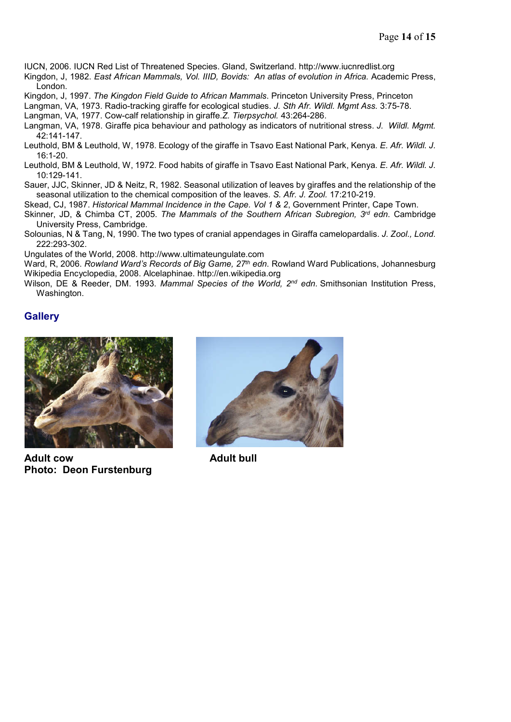IUCN, 2006. IUCN Red List of Threatened Species. Gland, Switzerland. http://www.iucnredlist.org

Kingdon, J, 1982. *East African Mammals, Vol. IIID, Bovids: An atlas of evolution in Africa.* Academic Press, London.

Kingdon, J, 1997. *The Kingdon Field Guide to African Mammals*. Princeton University Press, Princeton

Langman, VA, 1973. Radio-tracking giraffe for ecological studies. *J. Sth Afr. Wildl. Mgmt Ass.* 3:75-78.

Langman, VA, 1977. Cow-calf relationship in giraffe.*Z. Tierpsychol.* 43:264-286.

Langman, VA, 1978. Giraffe pica behaviour and pathology as indicators of nutritional stress. *J. Wildl. Mgmt.* 42:141-147.

Leuthold, BM & Leuthold, W, 1978. Ecology of the giraffe in Tsavo East National Park, Kenya*. E. Afr. Wildl. J.* 16:1-20.

Leuthold, BM & Leuthold, W, 1972. Food habits of giraffe in Tsavo East National Park, Kenya*. E. Afr. Wildl. J.* 10:129-141.

Sauer, JJC, Skinner, JD & Neitz, R, 1982. Seasonal utilization of leaves by giraffes and the relationship of the seasonal utilization to the chemical composition of the leaves. *S. Afr. J. Zool.* 17:210-219.

Skead, CJ, 1987. *Historical Mammal Incidence in the Cape. Vol 1 & 2*, Government Printer, Cape Town.

Skinner, JD, & Chimba CT, 2005. *The Mammals of the Southern African Subregion, 3rd edn*. Cambridge University Press, Cambridge.

Solounias, N & Tang, N, 1990. The two types of cranial appendages in Giraffa camelopardalis. *J. Zool., Lond.* 222:293-302.

Ungulates of the World, 2008. http://www.ultimateungulate.com

Ward, R, 2006. *Rowland Ward's Records of Big Game, 27th edn*. Rowland Ward Publications, Johannesburg Wikipedia Encyclopedia, 2008. Alcelaphinae. http://en.wikipedia.org

Wilson, DE & Reeder, DM. 1993. *Mammal Species of the World, 2nd edn*. Smithsonian Institution Press, Washington.

#### **Gallery**



**Adult cow Adult bull Photo: Deon Furstenburg**